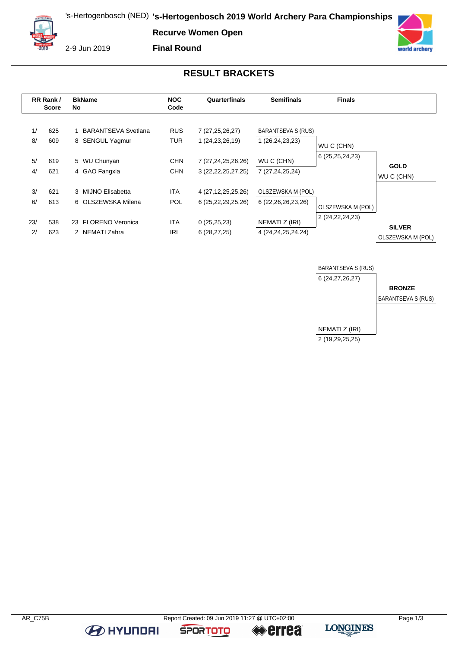**Recurve Women Open**



2-9 Jun 2019

**Final Round**



## **RESULT BRACKETS**

| RR Rank /<br><b>Score</b> |            | <b>BkName</b><br>No                           | <b>NOC</b><br>Code       | Quarterfinals                                    | <b>Semifinals</b>                           | <b>Finals</b>      |                                    |
|---------------------------|------------|-----------------------------------------------|--------------------------|--------------------------------------------------|---------------------------------------------|--------------------|------------------------------------|
| 1/<br>8/                  | 625<br>609 | <b>BARANTSEVA Svetlana</b><br>8 SENGUL Yagmur | <b>RUS</b><br><b>TUR</b> | 7 (27,25,26,27)<br>1 (24, 23, 26, 19)            | BARANTSEVA S (RUS)<br>1 (26,24,23,23)       | WU C (CHN)         |                                    |
| 5/<br>4/                  | 619<br>621 | 5 WU Chunyan<br>4 GAO Fangxia                 | <b>CHN</b><br><b>CHN</b> | 7 (27, 24, 25, 26, 26)<br>3 (22, 22, 25, 27, 25) | WU C (CHN)<br>7 (27,24,25,24)               | 6 (25, 25, 24, 23) | <b>GOLD</b><br>WU C (CHN)          |
| 3/<br>6/                  | 621<br>613 | 3 MIJNO Elisabetta<br>6 OLSZEWSKA Milena      | <b>ITA</b><br><b>POL</b> | 4 (27, 12, 25, 25, 26)<br>6 (25, 22, 29, 25, 26) | OLSZEWSKA M (POL)<br>6 (22, 26, 26, 23, 26) | OLSZEWSKA M (POL)  |                                    |
| 23/<br>2/                 | 538<br>623 | 23 FLORENO Veronica<br>2 NEMATI Zahra         | <b>ITA</b><br>IRI        | 0(25,25,23)<br>6(28, 27, 25)                     | NEMATI Z (IRI)<br>4 (24, 24, 25, 24, 24)    | 2 (24, 22, 24, 23) | <b>SILVER</b><br>OLSZEWSKA M (POL) |



**BE HYUNDAI** 

**SPORTOTO** 

**errea**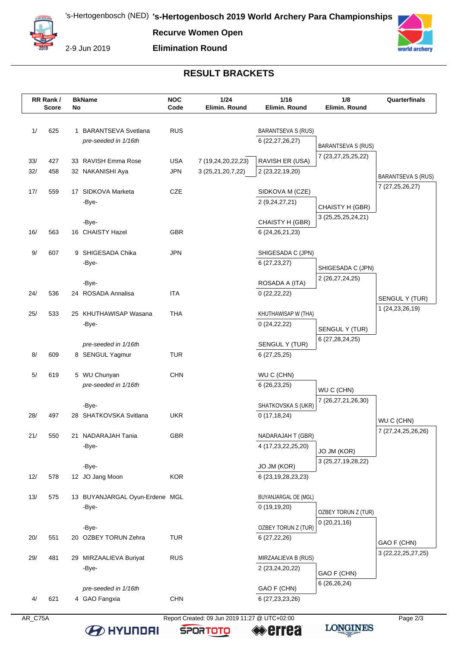**Recurve Women Open**



2-9 Jun 2019

**Elimination Round**



## **RESULT BRACKETS**

|            | RR Rank /<br><b>Score</b> | No | <b>BkName</b>                           | <b>NOC</b><br>Code       | 1/24<br>Elimin. Round                   | $1/16$<br>Elimin. Round                 | 1/8<br>Elimin, Round                 | Quarterfinals                         |
|------------|---------------------------|----|-----------------------------------------|--------------------------|-----------------------------------------|-----------------------------------------|--------------------------------------|---------------------------------------|
|            |                           |    |                                         |                          |                                         |                                         |                                      |                                       |
| 1/         | 625                       |    | 1 BARANTSEVA Svetlana                   | <b>RUS</b>               |                                         | <b>BARANTSEVA S (RUS)</b>               |                                      |                                       |
|            |                           |    | pre-seeded in 1/16th                    |                          |                                         | 6 (22, 27, 26, 27)                      | <b>BARANTSEVA S (RUS)</b>            |                                       |
|            |                           |    |                                         |                          |                                         |                                         | 7 (23, 27, 25, 25, 22)               |                                       |
| 33/<br>32/ | 427<br>458                |    | 33 RAVISH Emma Rose<br>32 NAKANISHI Aya | <b>USA</b><br><b>JPN</b> | 7 (19,24,20,22,23)<br>3 (25,21,20,7,22) | RAVISH ER (USA)<br>2 (23,22,19,20)      |                                      |                                       |
|            |                           |    |                                         |                          |                                         |                                         |                                      | <b>BARANTSEVA S (RUS)</b>             |
| 17/        | 559                       |    | 17 SIDKOVA Marketa                      | <b>CZE</b>               |                                         | SIDKOVA M (CZE)                         |                                      | 7 (27,25,26,27)                       |
|            |                           |    | -Bye-                                   |                          |                                         | 2 (9,24,27,21)                          | CHAISTY H (GBR)                      |                                       |
|            |                           |    |                                         |                          |                                         |                                         | 3 (25,25,25,24,21)                   |                                       |
|            |                           |    | -Bye-                                   |                          |                                         | CHAISTY H (GBR)                         |                                      |                                       |
| 16/        | 563                       |    | 16 CHAISTY Hazel                        | <b>GBR</b>               |                                         | 6 (24, 26, 21, 23)                      |                                      |                                       |
| 9/         | 607                       |    | 9 SHIGESADA Chika                       | JPN                      |                                         | SHIGESADA C (JPN)                       |                                      |                                       |
|            |                           |    | -Bye-                                   |                          |                                         | 6(27, 23, 27)                           |                                      |                                       |
|            |                           |    |                                         |                          |                                         |                                         | SHIGESADA C (JPN)<br>2 (26,27,24,25) |                                       |
|            |                           |    | -Bye-                                   |                          |                                         | ROSADA A (ITA)                          |                                      |                                       |
| 24/        | 536                       |    | 24 ROSADA Annalisa                      | <b>ITA</b>               |                                         | 0(22,22,22)                             |                                      | SENGUL Y (TUR)                        |
| 25/        | 533                       |    | 25 KHUTHAWISAP Wasana                   | <b>THA</b>               |                                         | KHUTHAWISAP W (THA)                     |                                      | 1 (24, 23, 26, 19)                    |
|            |                           |    | -Bye-                                   |                          |                                         | 0(24,22,22)                             |                                      |                                       |
|            |                           |    |                                         |                          |                                         |                                         | SENGUL Y (TUR)                       |                                       |
|            |                           |    | pre-seeded in 1/16th                    |                          |                                         | SENGUL Y (TUR)                          | 6 (27,28,24,25)                      |                                       |
| 8/         | 609                       |    | 8 SENGUL Yagmur                         | <b>TUR</b>               |                                         | 6(27,25,25)                             |                                      |                                       |
| 5/         | 619                       |    | 5 WU Chunyan                            | <b>CHN</b>               |                                         | WU C (CHN)                              |                                      |                                       |
|            |                           |    | pre-seeded in 1/16th                    |                          |                                         | 6(26, 23, 25)                           |                                      |                                       |
|            |                           |    |                                         |                          |                                         |                                         | WU C (CHN)                           |                                       |
|            |                           |    | -Bye-                                   |                          |                                         | SHATKOVSKA S (UKR)                      | 7 (26,27,21,26,30)                   |                                       |
| 28/        | 497                       |    | 28 SHATKOVSKA Svitlana                  | <b>UKR</b>               |                                         | 0(17, 18, 24)                           |                                      | WU C (CHN)                            |
|            |                           |    |                                         |                          |                                         |                                         |                                      | 7 (27,24,25,26,26)                    |
| 21/        | 550                       |    | 21 NADARAJAH Tania<br>-Bye-             | <b>GBR</b>               |                                         | NADARAJAH T (GBR)<br>4 (17,23,22,25,20) |                                      |                                       |
|            |                           |    |                                         |                          |                                         |                                         | JO JM (KOR)                          |                                       |
|            |                           |    | -Bye-                                   |                          |                                         | JO JM (KOR)                             | 3 (25,27,19,28,22)                   |                                       |
| 12/        | 578                       |    | 12 JO Jang Moon                         | <b>KOR</b>               |                                         | 6 (23,19,28,23,23)                      |                                      |                                       |
|            |                           |    |                                         |                          |                                         |                                         |                                      |                                       |
| 13/        | 575                       |    | 13 BUYANJARGAL Oyun-Erdene MGL          |                          |                                         | BUYANJARGAL OE (MGL)                    |                                      |                                       |
|            |                           |    | -Bye-                                   |                          |                                         | 0(19,19,20)                             | OZBEY TORUN Z (TUR)                  |                                       |
|            |                           |    | -Bye-                                   |                          |                                         | OZBEY TORUN Z (TUR)                     | 0(20,21,16)                          |                                       |
| 20/        | 551                       |    | 20 OZBEY TORUN Zehra                    | <b>TUR</b>               |                                         | 6(27, 22, 26)                           |                                      |                                       |
|            |                           |    |                                         |                          |                                         |                                         |                                      | GAO F (CHN)<br>3 (22, 22, 25, 27, 25) |
| 29/        | 481                       |    | 29 MIRZAALIEVA Buriyat                  | <b>RUS</b>               |                                         | MIRZAALIEVA B (RUS)                     |                                      |                                       |
|            |                           |    | -Bye-                                   |                          |                                         | 2 (23, 24, 20, 22)                      | GAO F (CHN)                          |                                       |
|            |                           |    | pre-seeded in 1/16th                    |                          |                                         | GAO F (CHN)                             | 6 (26,26,24)                         |                                       |
| 4/         | 621                       |    | 4 GAO Fangxia                           | <b>CHN</b>               |                                         | 6 (27, 23, 23, 26)                      |                                      |                                       |
|            |                           |    |                                         |                          |                                         |                                         |                                      |                                       |

**B** HYUNDAI

AR\_C75A Report Created: 09 Jun 2019 11:27 @ UTC+02:00

**SPORTOTO** 

**errea** 

**LONGINES**